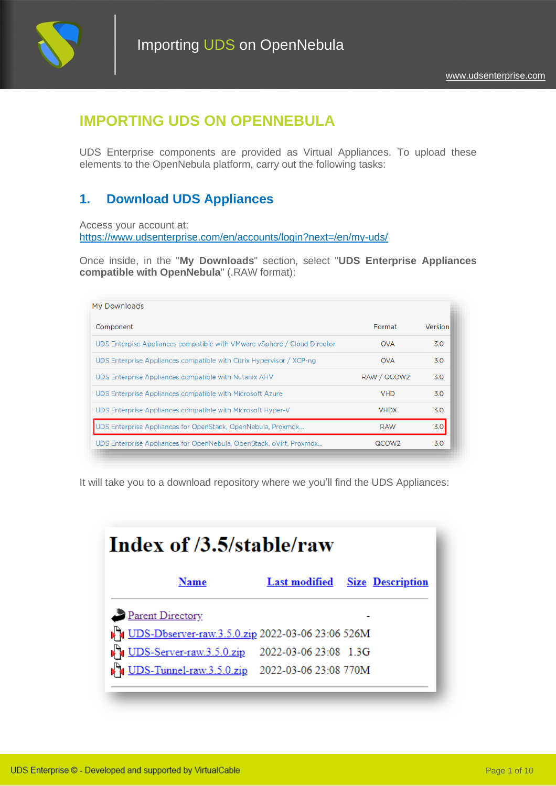

# **IMPORTING UDS ON OPENNEBULA**

UDS Enterprise components are provided as Virtual Appliances. To upload these elements to the OpenNebula platform, carry out the following tasks:

## **1. Download UDS Appliances**

Access your account at: <https://www.udsenterprise.com/en/accounts/login?next=/en/my-uds/>

Once inside, in the "**My Downloads**" section, select "**UDS Enterprise Appliances compatible with OpenNebula**" (.RAW format):

| My Downloads                                                             |                   |         |
|--------------------------------------------------------------------------|-------------------|---------|
| Component                                                                | Format            | Version |
| UDS Enterpise Appliances compatible with VMware vSphere / Cloud Director | <b>OVA</b>        | 3.0     |
| UDS Enterprise Appliances compatible with Citrix Hypervisor / XCP-ng     | <b>OVA</b>        | 3.0     |
| UDS Enterprise Appliances compatible with Nutanix AHV                    | RAW / QCOW2       | 3.0     |
| UDS Enterprise Appliances compatible with Microsoft Azure                | <b>VHD</b>        | 3.0     |
| UDS Enterprise Appliances compatible with Microsoft Hyper-V              | <b>VHDX</b>       | 3.0     |
| UDS Enterprise Appliances for OpenStack, OpenNebula, Proxmox             | <b>RAW</b>        | 3.0     |
| UDS Enterprise Appliances for OpenNebula, OpenStack, oVirt, Proxmox      | QCOW <sub>2</sub> | 3.0     |

It will take you to a download repository where we you'll find the UDS Appliances:

| Index of /3.5/stable/raw                              |                       |                                       |
|-------------------------------------------------------|-----------------------|---------------------------------------|
| Name                                                  |                       | <b>Last modified</b> Size Description |
| Parent Directory                                      |                       |                                       |
| Du UDS-Dbserver-raw.3.5.0.zip 2022-03-06 23:06 526M   |                       |                                       |
| UDS-Server-raw.3.5.0.zip                              | 2022-03-06 23:08 1.3G |                                       |
| <b>DES-Tunnel-raw.3.5.0.zip</b> 2022-03-06 23:08 770M |                       |                                       |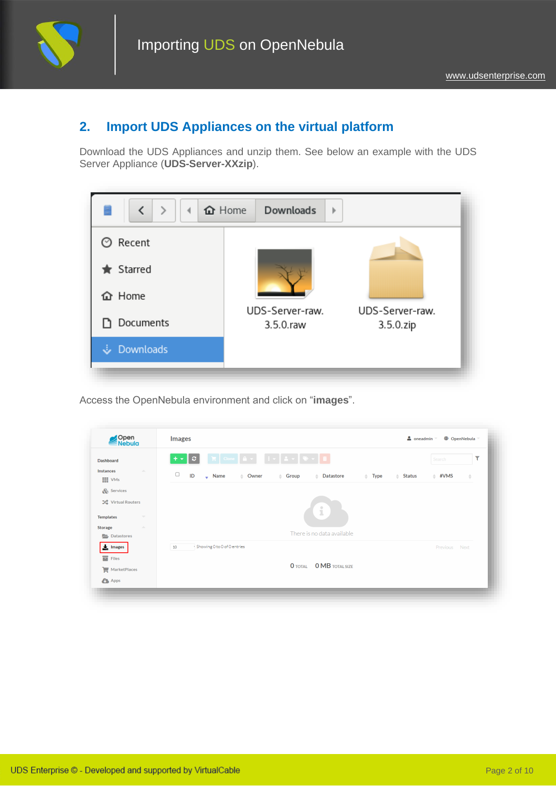

## **2. Import UDS Appliances on the virtual platform**

Download the UDS Appliances and unzip them. See below an example with the UDS Server Appliance (**UDS-Server-XXzip**).



Access the OpenNebula environment and click on "**images**".

| Open<br>Nebula                                            |                                                                                                                        |                  |
|-----------------------------------------------------------|------------------------------------------------------------------------------------------------------------------------|------------------|
| <b>Dashboard</b>                                          | $+$ $\sim$ $\alpha$                                                                                                    | ۲<br>Search      |
| <b>Instances</b><br>$\Delta \mathbf{k}$<br><b>III</b> VMs | $\Box$<br>ID<br>$\bullet$ Name<br><b>Datastore</b><br>≜ Owner<br><i></i> Group<br>÷<br>$\#$ Type<br>$\triangle$ Status | #VMS<br>÷        |
| Services                                                  |                                                                                                                        |                  |
| <b>X</b> Virtual Routers                                  |                                                                                                                        |                  |
| <b>Templates</b><br>$\overline{\nabla}$                   | i                                                                                                                      |                  |
| <b>Storage</b><br>$\Delta \mathbf{b}_i$                   |                                                                                                                        |                  |
| Datastores                                                | There is no data available                                                                                             |                  |
| $\frac{1}{2}$ Images                                      | Showing 0 to 0 of 0 entries<br>10                                                                                      | Previous<br>Next |
| $\blacksquare$ Files                                      |                                                                                                                        |                  |
| MarketPlaces                                              | <b>O</b> TOTAL <b>O MB</b> TOTAL SIZE                                                                                  |                  |
| <b>C</b> Apps                                             |                                                                                                                        |                  |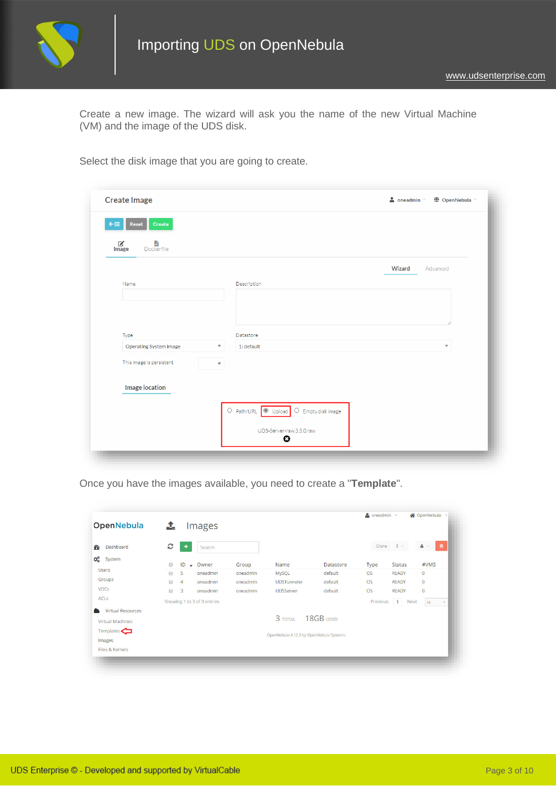

Create a new image. The wizard will ask you the name of the new Virtual Machine (VM) and the image of the UDS disk.

Select the disk image that you are going to create.

|                                       |                                                    | Wizard<br>Advanced      |
|---------------------------------------|----------------------------------------------------|-------------------------|
| Name                                  | Description                                        |                         |
|                                       |                                                    |                         |
|                                       |                                                    |                         |
|                                       |                                                    |                         |
| Type<br><b>Operating System image</b> | Datastore<br>$\overline{\mathbf{v}}$<br>1: default | $\overline{\mathbf{v}}$ |
|                                       |                                                    |                         |
| This image is persistent              | $\overline{\mathbf{v}}$                            |                         |
|                                       |                                                    |                         |
| <b>Image location</b>                 |                                                    |                         |
|                                       | O Path/URL O Upload<br>$\bigcirc$ Empty disk image |                         |
|                                       |                                                    |                         |

Once you have the images available, you need to create a "**Template**".

| <b>OpenNebula</b>        | $\mathbf{r}$ |                | Images                      |          |                                          |           |           |               |                           |
|--------------------------|--------------|----------------|-----------------------------|----------|------------------------------------------|-----------|-----------|---------------|---------------------------|
| Dashboard<br>90          | е            | ٠              | Search                      |          |                                          |           |           | Clone $i -$   | 會<br>$\Delta =$           |
| Q.<br>System             | G            |                | $ID \neq Owner$             | Group    | Name                                     | Datastore | Type      | <b>Status</b> | #VMS                      |
| <b>Users</b>             | 同            | 5              | oneadmin                    | oneadmin | MySQL                                    | default   | <b>OS</b> | <b>READY</b>  | $\circ$                   |
| Groups                   | 同            | $\overline{4}$ | oneadmin                    | oneadmin | <b>UDSTunneler</b>                       | default   | <b>OS</b> | <b>READY</b>  | $\Omega$                  |
| <b>VDCs</b>              | 画            | $\overline{3}$ | oneadmin                    | oneadmin | <b>UDSServer</b>                         | default   | OS        | <b>READY</b>  | $\overline{0}$            |
| <b>ACLs</b>              |              |                | Showing 1 to 3 of 3 entries |          |                                          |           | Previous  | 1 Next        | 10 <sup>°</sup><br>$\sim$ |
| <b>Virtual Resources</b> |              |                |                             |          |                                          |           |           |               |                           |
| Virtual Machines         |              |                |                             |          | $3$ TOTAL                                | 18GB USED |           |               |                           |
| Templates $\bigodot$     |              |                |                             |          | OpenNebula 4.12.3 by OpenNebula Systems. |           |           |               |                           |
| Images                   |              |                |                             |          |                                          |           |           |               |                           |
| Files & Kernels          |              |                |                             |          |                                          |           |           |               |                           |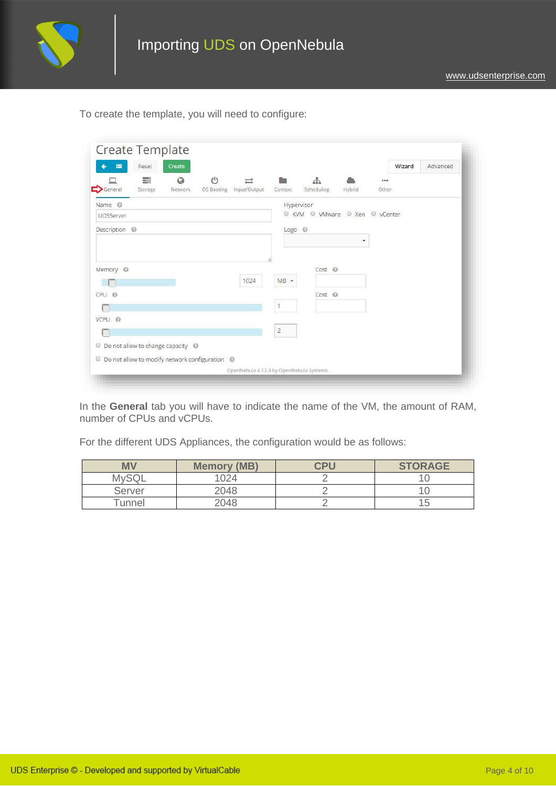

To create the template, you will need to configure:

| 畫<br>Reset<br>Create                           |              |            |                                |        |       | Wizard | Advanced |
|------------------------------------------------|--------------|------------|--------------------------------|--------|-------|--------|----------|
| 특<br>$^{\text{}}$<br>Q                         |              |            | $\frac{1}{2}$                  |        |       |        |          |
| General<br>Storage<br>Network<br>OS Booting    | Input/Output | Context    | Scheduling                     | Hybrid | Other |        |          |
| Name <sup>@</sup>                              |              | Hypervisor |                                |        |       |        |          |
| UDSServer                                      |              |            | C KVM C VMware C Xen C vCenter |        |       |        |          |
| Description <sup>@</sup>                       |              | Logo @     |                                |        |       |        |          |
|                                                |              |            |                                | ۰      |       |        |          |
|                                                |              |            |                                |        |       |        |          |
| Memory <sup>@</sup>                            |              |            | Cost <sup>①</sup>              |        |       |        |          |
|                                                | 1024         | $MB -$     |                                |        |       |        |          |
| $CPU \odot$                                    |              |            | Cost <sup>©</sup>              |        |       |        |          |
|                                                |              |            |                                |        |       |        |          |
| VCPU @                                         |              |            |                                |        |       |        |          |
|                                                |              | $\bar{2}$  |                                |        |       |        |          |
| $\Box$ Do not allow to change capacity $\Box$  |              |            |                                |        |       |        |          |
| Do not allow to modify network configuration @ |              |            |                                |        |       |        |          |
|                                                |              |            |                                |        |       |        |          |

In the **General** tab you will have to indicate the name of the VM, the amount of RAM, number of CPUs and vCPUs.

For the different UDS Appliances, the configuration would be as follows:

| <b>MV</b>   | <b>Memory (MB)</b> | CPU | <b>STORAGE</b> |
|-------------|--------------------|-----|----------------|
| <b>MvSQ</b> | 1024               |     |                |
| Server      | 2048               |     |                |
| Tunnel      | 2048               |     |                |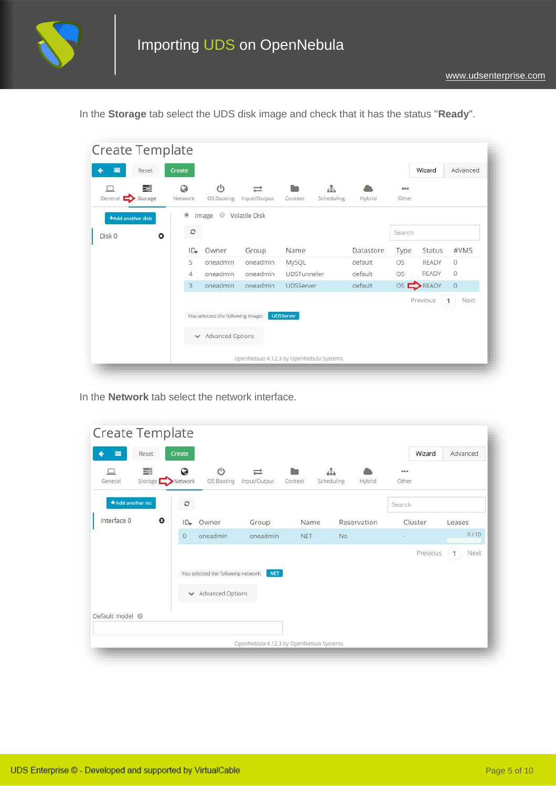

| 畫<br>Reset                      | Create          |                                   |               |                    |            |           |           | Wizard       | Advanced         |
|---------------------------------|-----------------|-----------------------------------|---------------|--------------------|------------|-----------|-----------|--------------|------------------|
| 들                               | Q               | $\mathcal{L}^{(1)}$               |               |                    | 苦          |           | 999       |              |                  |
| General Storage                 | Network         | OS Booting                        | Input/Output  | <b>Context</b>     | Scheduling | Hybrid    | Other     |              |                  |
| +Add another disk               | ۵               | $\circledcirc$<br>Image           | Volatile Disk |                    |            |           |           |              |                  |
| Disk 0<br>$\boldsymbol{\Omega}$ | c               |                                   |               |                    |            |           | Search    |              |                  |
|                                 | ID <sub>r</sub> | Owner                             | Group         | Name               |            | Datastore | Type      | Status       | #VMS             |
|                                 | 5               | oneadmin                          | oneadmin      | MySQL              |            | default   | <b>OS</b> | READY        | $\circ$          |
|                                 | 4               | oneadmin                          | oneadmin      | <b>UDSTunneler</b> |            | default   | OS        | <b>READY</b> | $\circ$          |
|                                 | 3               | oneadmin                          | oneadmin      | UDSServer          |            | default   |           | OS READY     | $\circ$          |
|                                 |                 |                                   |               |                    |            |           |           | Previous     | 1<br><b>Next</b> |
|                                 |                 | You selected the following image: |               | <b>UDSServer</b>   |            |           |           |              |                  |
|                                 |                 | Advanced Options                  |               |                    |            |           |           |              |                  |

In the **Storage** tab select the UDS disk image and check that it has the status "**Ready**".

In the **Network** tab select the network interface.

| 畫<br>Reset                      | Create           |                                                         |                   |               |                      | Wizard                | Advanced             |
|---------------------------------|------------------|---------------------------------------------------------|-------------------|---------------|----------------------|-----------------------|----------------------|
| E<br>Storage Network<br>General | O                | $^{\prime}$<br>OS Booting                               | ⋍<br>Input/Output | n.<br>Context | Scheduling<br>Hybrid | $n \times n$<br>Other |                      |
| + Add another nic               | $\boldsymbol{c}$ |                                                         |                   |               |                      | Search                |                      |
| Interface 0<br>$\bullet$        | ID <sub>r</sub>  | Owner                                                   | Group             | Name          | Reservation          | Cluster               | Leases               |
|                                 | $\overline{0}$   | oneadmin                                                | oneadmin          | <b>NET</b>    | <b>No</b>            |                       | 0/10                 |
|                                 |                  | You selected the following network:<br>Advanced Options | <b>NET</b>        |               |                      | Previous              | Next<br>$\mathbf{1}$ |
| Default model @                 |                  |                                                         |                   |               |                      |                       |                      |
|                                 |                  |                                                         |                   |               |                      |                       |                      |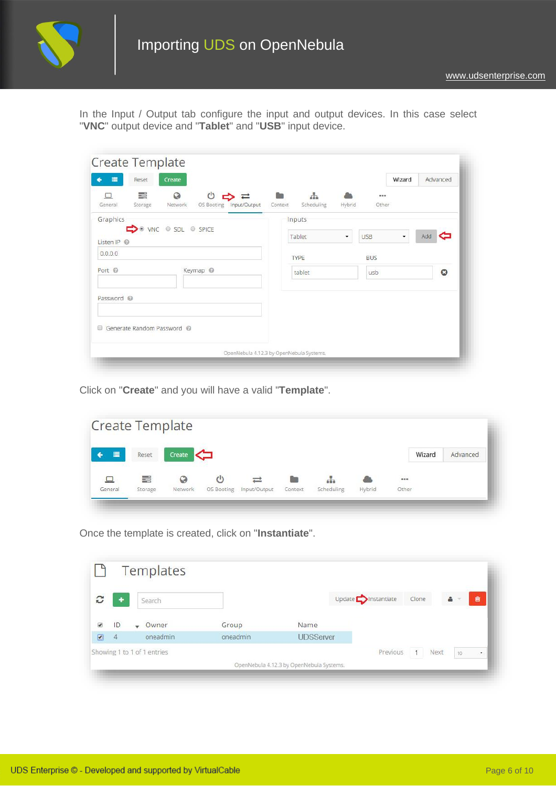

In the Input / Output tab configure the input and output devices. In this case select "**VNC**" output device and "**Tablet**" and "**USB**" input device.

| Create<br>≡<br>Reset                          |                                       |         |                                    |        |                | Wizard | Advanced  |
|-----------------------------------------------|---------------------------------------|---------|------------------------------------|--------|----------------|--------|-----------|
| 臺<br>$\odot$<br>Network<br>General<br>Storage | $\circ$<br>OS Booting<br>Input/Output | Context | $\frac{1}{\sqrt{2}}$<br>Scheduling | Hybrid | 19.99<br>Other |        |           |
| Graphics                                      |                                       |         | <b>Inputs</b>                      |        |                |        |           |
| O VNC O SDL O SPICE<br>Listen IP              |                                       |         | Tablet                             | ۰      | <b>USB</b>     | ۰      | Add       |
| 0.0.0.0                                       |                                       |         | <b>TYPE</b>                        |        | <b>BUS</b>     |        |           |
| Port @                                        | Keymap <sup>@</sup>                   |         | tablet                             |        | usb            |        | $\bullet$ |
| Password @                                    |                                       |         |                                    |        |                |        |           |
|                                               |                                       |         |                                    |        |                |        |           |
| Generate Random Password @                    |                                       |         |                                    |        |                |        |           |
|                                               |                                       |         |                                    |        |                |        |           |

Click on "**Create**" and you will have a valid "**Template**".

|         | Create Template |         |            |              |             |            |        |          |        |          |
|---------|-----------------|---------|------------|--------------|-------------|------------|--------|----------|--------|----------|
| 畺       | Reset           | Create  | ko         |              |             |            |        |          | Wizard | Advanced |
| $\Box$  | 〓               | Q       | $\circ$    |              | <b>1974</b> | d.         |        | $\cdots$ |        |          |
| General | Storage         | Network | OS Booting | Input/Output | Context     | Scheduling | Hybrid | Other    |        |          |

Once the template is created, click on "**Instantiate**".

|                          |                |              | Templates                   |          |                                          |                             |       |      |            |    |           |
|--------------------------|----------------|--------------|-----------------------------|----------|------------------------------------------|-----------------------------|-------|------|------------|----|-----------|
| C                        | $\ddot{}$      |              | Search                      |          |                                          | Update <b>D</b> Instantiate | Clone |      | $\Delta$ - |    | Ŵ         |
| $\overline{\mathcal{L}}$ | ID             | $\mathbf{r}$ | Owner                       | Group    | Name                                     |                             |       |      |            |    |           |
| 國                        | $\overline{4}$ |              | oneadmin                    | oneadmin | <b>UDSServer</b>                         |                             |       |      |            |    |           |
|                          |                |              | Showing 1 to 1 of 1 entries |          |                                          | Previous                    | 1     | Next |            | 10 | $\bullet$ |
|                          |                |              |                             |          | OpenNebula 4.12.3 by OpenNebula Systems. |                             |       |      |            |    |           |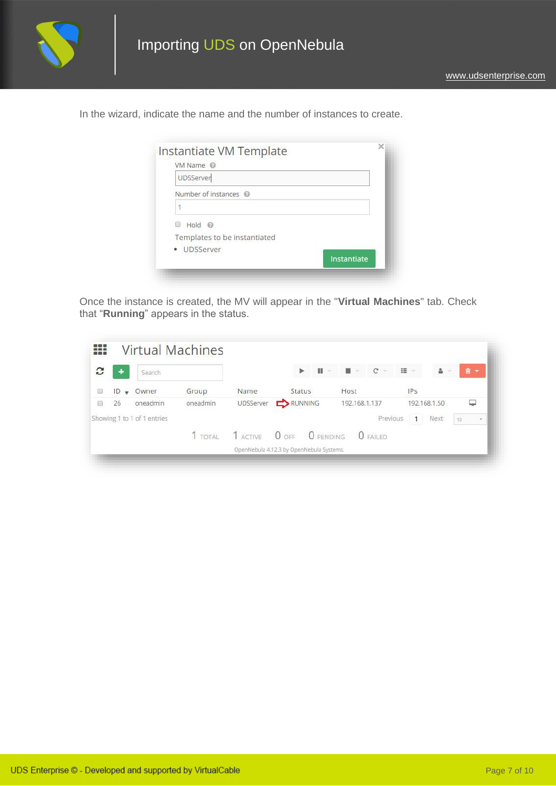

In the wizard, indicate the name and the number of instances to create.

| VM Name @                    |             |
|------------------------------|-------------|
| UDSServer                    |             |
| Number of instances @        |             |
|                              |             |
| $Hold$ $@$                   |             |
| Templates to be instantiated |             |
| · UDSServer                  |             |
|                              | Instantiate |

Once the instance is created, the MV will appear in the "**Virtual Machines**" tab. Check that "**Running**" appears in the status.

| C      | ٠                               | Search                      |          |               | ь                                        | $\mathbf{H}$<br>$\sim$ |               | $\blacksquare$ = $\blacksquare$ $\blacksquare$<br>$\sim$ | $\mathbf{H}$ | $\Delta$ - | 自      | $\overline{\phantom{a}}$ |
|--------|---------------------------------|-----------------------------|----------|---------------|------------------------------------------|------------------------|---------------|----------------------------------------------------------|--------------|------------|--------|--------------------------|
| $\Box$ | ID<br>Owner<br>Group<br>$\cdot$ |                             | Name     | <b>Status</b> |                                          | Host                   |               | IPS                                                      |              |            |        |                          |
|        | 26                              | oneadmin                    | oneadmin |               | UDSServer <b>DEX</b> RUNNING             |                        | 192.168.1.137 |                                                          | 192.168.1.50 |            | ₽      |                          |
|        |                                 | Showing 1 to 1 of 1 entries |          |               |                                          |                        |               | Previous                                                 | $\mathbf{1}$ | Next       | $10\,$ | $\ddot{}$                |
|        |                                 |                             | 1 TOTAL  | 1 ACTIVE      | O OFF                                    | O PENDING              |               | $O$ FAILED                                               |              |            |        |                          |
|        |                                 |                             |          |               | OpenNebula 4.12.3 by OpenNebula Systems. |                        |               |                                                          |              |            |        |                          |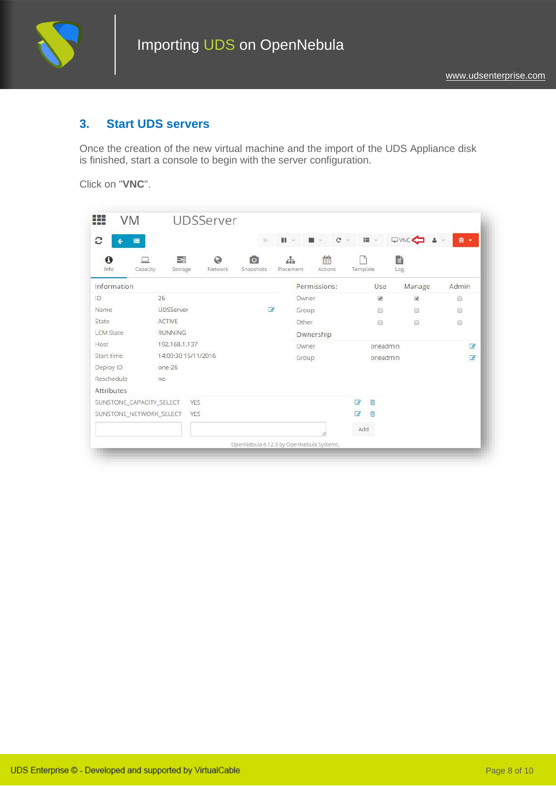

### **3. Start UDS servers**

Once the creation of the new virtual machine and the import of the UDS Appliance disk is finished, start a console to begin with the server configuration.

Click on "**VNC**".

| $\mathbf{C}$<br>畫<br>÷   |                    |                     |                                  | b.                                       | $\mathbf{H}$ = |           | $C -$<br>$\blacksquare$ |                      | ■ →                      | QVNC &        | 自 -            |
|--------------------------|--------------------|---------------------|----------------------------------|------------------------------------------|----------------|-----------|-------------------------|----------------------|--------------------------|---------------|----------------|
| $\mathbf \theta$<br>Info | $\Box$<br>Capacity | 〓<br>Storage        | $\boldsymbol{\Omega}$<br>Network | Гo<br>Snapshots                          | 뿦<br>Placement |           | 龠<br>Actions            | Template             |                          | È<br>Log      |                |
| Information              |                    |                     |                                  |                                          |                |           | Permissions:            |                      | Use                      | Manage        | Admin          |
| ID                       | 26                 |                     |                                  |                                          |                | Owner     |                         |                      | $\overline{\mathcal{L}}$ | $\mathcal{L}$ | B              |
| Name                     |                    | UDSServer           |                                  | $\overline{a}$                           |                | Group     |                         |                      | $\circledcirc$           | O             | $\Box$         |
| State                    | <b>ACTIVE</b>      |                     |                                  |                                          |                | Other     |                         |                      | $\Box$                   | $\Box$        | $\Box$         |
| <b>LCM State</b>         |                    | <b>RUNNING</b>      |                                  |                                          |                | Ownership |                         |                      |                          |               |                |
| Host.                    |                    | 192.168.1.137       |                                  |                                          |                | Owner     |                         |                      | oneadmin                 |               | $\epsilon$     |
| Start time               |                    | 14:00:30 15/11/2016 |                                  |                                          |                | Group     |                         |                      | oneadmin                 |               | $\overline{a}$ |
| Deploy ID                | one-26             |                     |                                  |                                          |                |           |                         |                      |                          |               |                |
| Reschedule               | no                 |                     |                                  |                                          |                |           |                         |                      |                          |               |                |
| Attributes               |                    |                     |                                  |                                          |                |           |                         |                      |                          |               |                |
| SUNSTONE_CAPACITY_SELECT |                    | YES.                |                                  |                                          |                |           |                         | $\overrightarrow{d}$ | 向                        |               |                |
| SUNSTONE_NETWORK_SELECT  |                    | <b>YES</b>          |                                  |                                          |                |           |                         | $\overrightarrow{a}$ | 向                        |               |                |
|                          |                    |                     |                                  |                                          |                |           |                         | Add                  |                          |               |                |
|                          |                    |                     |                                  | OpenNebula 4.12.3 by OpenNebula Systems. |                |           |                         |                      |                          |               |                |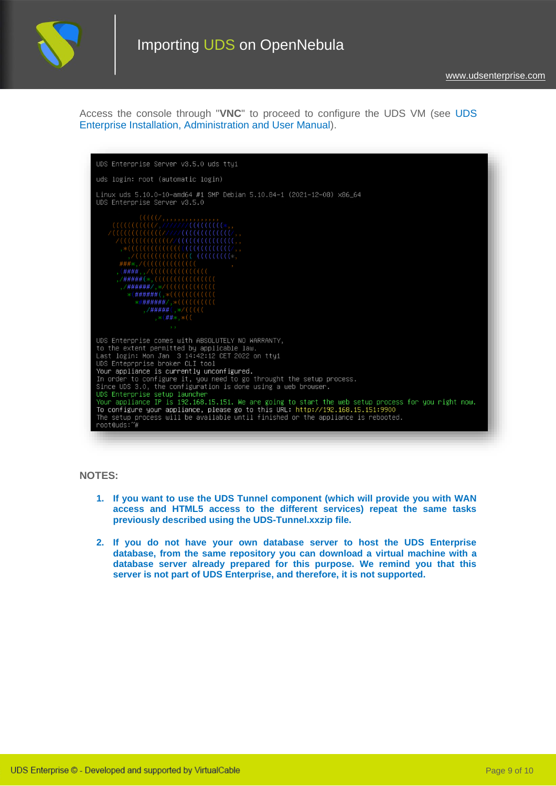

Access the console through "**VNC**" to proceed to configure the UDS VM (see [UDS](https://www.udsenterprise.com/en/uds-enterprise/documentation/)  [Enterprise Installation, Administration and User Manual\)](https://www.udsenterprise.com/en/uds-enterprise/documentation/).



#### **NOTES:**

- **1. If you want to use the UDS Tunnel component (which will provide you with WAN access and HTML5 access to the different services) repeat the same tasks previously described using the UDS-Tunnel.xxzip file.**
- **2. If you do not have your own database server to host the UDS Enterprise database, from the same repository you can download a virtual machine with a database server already prepared for this purpose. We remind you that this server is not part of UDS Enterprise, and therefore, it is not supported.**